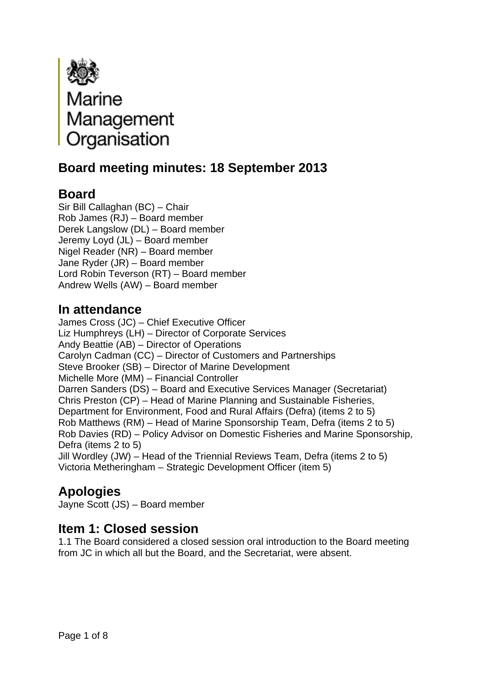

# **Board meeting minutes: 18 September 2013**

# **Board**

Sir Bill Callaghan (BC) – Chair Rob James (RJ) – Board member Derek Langslow (DL) – Board member Jeremy Loyd (JL) – Board member Nigel Reader (NR) – Board member Jane Ryder (JR) – Board member Lord Robin Teverson (RT) – Board member Andrew Wells (AW) – Board member

## **In attendance**

James Cross (JC) – Chief Executive Officer Liz Humphreys (LH) – Director of Corporate Services Andy Beattie (AB) – Director of Operations Carolyn Cadman (CC) – Director of Customers and Partnerships Steve Brooker (SB) – Director of Marine Development Michelle More (MM) – Financial Controller Darren Sanders (DS) – Board and Executive Services Manager (Secretariat) Chris Preston (CP) – Head of Marine Planning and Sustainable Fisheries, Department for Environment, Food and Rural Affairs (Defra) (items 2 to 5) Rob Matthews (RM) – Head of Marine Sponsorship Team, Defra (items 2 to 5) Rob Davies (RD) – Policy Advisor on Domestic Fisheries and Marine Sponsorship, Defra (items 2 to 5) Jill Wordley (JW) – Head of the Triennial Reviews Team, Defra (items 2 to 5) Victoria Metheringham – Strategic Development Officer (item 5)

# **Apologies**

Jayne Scott (JS) – Board member

### **Item 1: Closed session**

1.1 The Board considered a closed session oral introduction to the Board meeting from JC in which all but the Board, and the Secretariat, were absent.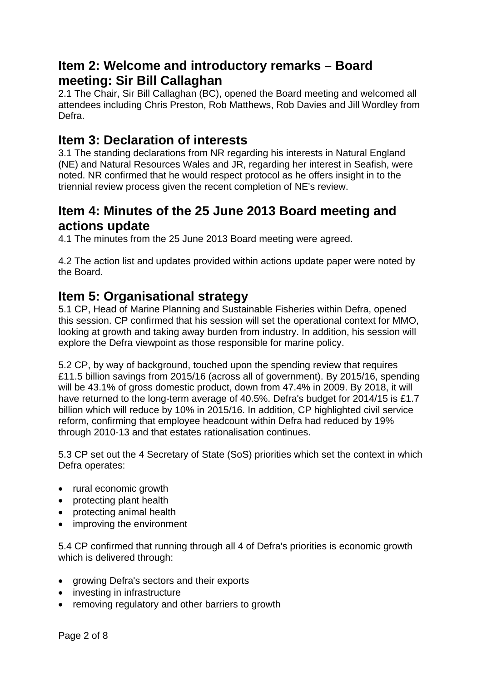### **Item 2: Welcome and introductory remarks – Board meeting: Sir Bill Callaghan**

2.1 The Chair, Sir Bill Callaghan (BC), opened the Board meeting and welcomed all attendees including Chris Preston, Rob Matthews, Rob Davies and Jill Wordley from Defra.

### **Item 3: Declaration of interests**

3.1 The standing declarations from NR regarding his interests in Natural England (NE) and Natural Resources Wales and JR, regarding her interest in Seafish, were noted. NR confirmed that he would respect protocol as he offers insight in to the triennial review process given the recent completion of NE's review.

### **Item 4: Minutes of the 25 June 2013 Board meeting and actions update**

4.1 The minutes from the 25 June 2013 Board meeting were agreed.

4.2 The action list and updates provided within actions update paper were noted by the Board.

### **Item 5: Organisational strategy**

5.1 CP, Head of Marine Planning and Sustainable Fisheries within Defra, opened this session. CP confirmed that his session will set the operational context for MMO, looking at growth and taking away burden from industry. In addition, his session will explore the Defra viewpoint as those responsible for marine policy.

5.2 CP, by way of background, touched upon the spending review that requires £11.5 billion savings from 2015/16 (across all of government). By 2015/16, spending will be 43.1% of gross domestic product, down from 47.4% in 2009. By 2018, it will have returned to the long-term average of 40.5%. Defra's budget for 2014/15 is £1.7 billion which will reduce by 10% in 2015/16. In addition, CP highlighted civil service reform, confirming that employee headcount within Defra had reduced by 19% through 2010-13 and that estates rationalisation continues.

5.3 CP set out the 4 Secretary of State (SoS) priorities which set the context in which Defra operates:

- rural economic growth
- protecting plant health
- protecting animal health
- improving the environment

5.4 CP confirmed that running through all 4 of Defra's priorities is economic growth which is delivered through:

- growing Defra's sectors and their exports
- investing in infrastructure
- removing regulatory and other barriers to growth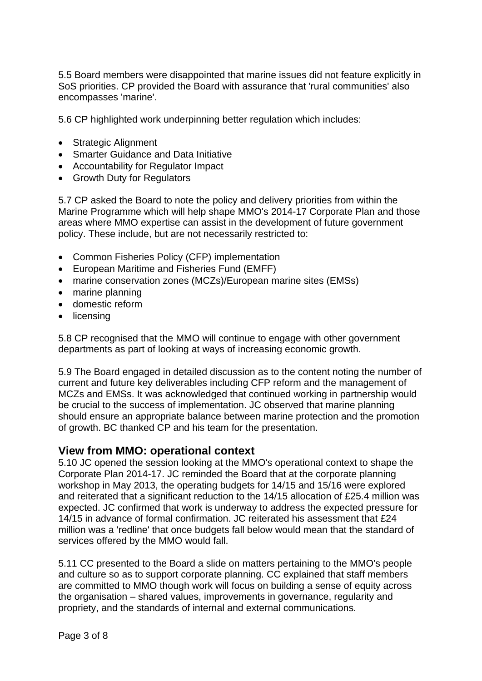5.5 Board members were disappointed that marine issues did not feature explicitly in SoS priorities. CP provided the Board with assurance that 'rural communities' also encompasses 'marine'.

5.6 CP highlighted work underpinning better regulation which includes:

- Strategic Alignment
- Smarter Guidance and Data Initiative
- Accountability for Regulator Impact
- Growth Duty for Regulators

5.7 CP asked the Board to note the policy and delivery priorities from within the Marine Programme which will help shape MMO's 2014-17 Corporate Plan and those areas where MMO expertise can assist in the development of future government policy. These include, but are not necessarily restricted to:

- Common Fisheries Policy (CFP) implementation
- European Maritime and Fisheries Fund (EMFF)
- marine conservation zones (MCZs)/European marine sites (EMSs)
- marine planning
- domestic reform
- licensing

5.8 CP recognised that the MMO will continue to engage with other government departments as part of looking at ways of increasing economic growth.

5.9 The Board engaged in detailed discussion as to the content noting the number of current and future key deliverables including CFP reform and the management of MCZs and EMSs. It was acknowledged that continued working in partnership would be crucial to the success of implementation. JC observed that marine planning should ensure an appropriate balance between marine protection and the promotion of growth. BC thanked CP and his team for the presentation.

#### **View from MMO: operational context**

5.10 JC opened the session looking at the MMO's operational context to shape the Corporate Plan 2014-17. JC reminded the Board that at the corporate planning workshop in May 2013, the operating budgets for 14/15 and 15/16 were explored and reiterated that a significant reduction to the 14/15 allocation of £25.4 million was expected. JC confirmed that work is underway to address the expected pressure for 14/15 in advance of formal confirmation. JC reiterated his assessment that £24 million was a 'redline' that once budgets fall below would mean that the standard of services offered by the MMO would fall.

5.11 CC presented to the Board a slide on matters pertaining to the MMO's people and culture so as to support corporate planning. CC explained that staff members are committed to MMO though work will focus on building a sense of equity across the organisation – shared values, improvements in governance, regularity and propriety, and the standards of internal and external communications.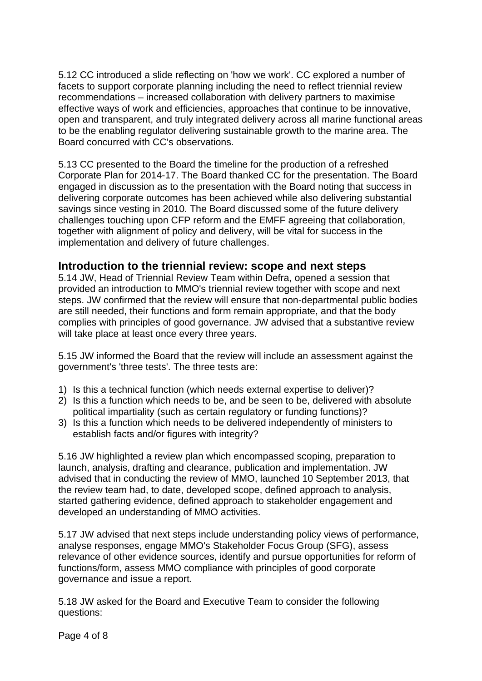5.12 CC introduced a slide reflecting on 'how we work'. CC explored a number of facets to support corporate planning including the need to reflect triennial review recommendations – increased collaboration with delivery partners to maximise effective ways of work and efficiencies, approaches that continue to be innovative, open and transparent, and truly integrated delivery across all marine functional areas to be the enabling regulator delivering sustainable growth to the marine area. The Board concurred with CC's observations.

5.13 CC presented to the Board the timeline for the production of a refreshed Corporate Plan for 2014-17. The Board thanked CC for the presentation. The Board engaged in discussion as to the presentation with the Board noting that success in delivering corporate outcomes has been achieved while also delivering substantial savings since vesting in 2010. The Board discussed some of the future delivery challenges touching upon CFP reform and the EMFF agreeing that collaboration, together with alignment of policy and delivery, will be vital for success in the implementation and delivery of future challenges.

#### **Introduction to the triennial review: scope and next steps**

5.14 JW, Head of Triennial Review Team within Defra, opened a session that provided an introduction to MMO's triennial review together with scope and next steps. JW confirmed that the review will ensure that non-departmental public bodies are still needed, their functions and form remain appropriate, and that the body complies with principles of good governance. JW advised that a substantive review will take place at least once every three years.

5.15 JW informed the Board that the review will include an assessment against the government's 'three tests'. The three tests are:

- 1) Is this a technical function (which needs external expertise to deliver)?
- 2) Is this a function which needs to be, and be seen to be, delivered with absolute political impartiality (such as certain regulatory or funding functions)?
- 3) Is this a function which needs to be delivered independently of ministers to establish facts and/or figures with integrity?

5.16 JW highlighted a review plan which encompassed scoping, preparation to launch, analysis, drafting and clearance, publication and implementation. JW advised that in conducting the review of MMO, launched 10 September 2013, that the review team had, to date, developed scope, defined approach to analysis, started gathering evidence, defined approach to stakeholder engagement and developed an understanding of MMO activities.

5.17 JW advised that next steps include understanding policy views of performance, analyse responses, engage MMO's Stakeholder Focus Group (SFG), assess relevance of other evidence sources, identify and pursue opportunities for reform of functions/form, assess MMO compliance with principles of good corporate governance and issue a report.

5.18 JW asked for the Board and Executive Team to consider the following questions: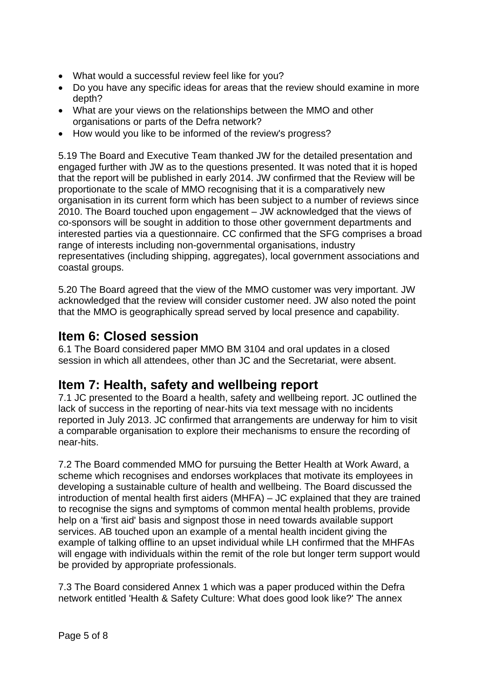- What would a successful review feel like for you?
- Do you have any specific ideas for areas that the review should examine in more depth?
- What are your views on the relationships between the MMO and other organisations or parts of the Defra network?
- How would you like to be informed of the review's progress?

5.19 The Board and Executive Team thanked JW for the detailed presentation and engaged further with JW as to the questions presented. It was noted that it is hoped that the report will be published in early 2014. JW confirmed that the Review will be proportionate to the scale of MMO recognising that it is a comparatively new organisation in its current form which has been subject to a number of reviews since 2010. The Board touched upon engagement – JW acknowledged that the views of co-sponsors will be sought in addition to those other government departments and interested parties via a questionnaire. CC confirmed that the SFG comprises a broad range of interests including non-governmental organisations, industry representatives (including shipping, aggregates), local government associations and coastal groups.

5.20 The Board agreed that the view of the MMO customer was very important. JW acknowledged that the review will consider customer need. JW also noted the point that the MMO is geographically spread served by local presence and capability.

## **Item 6: Closed session**

6.1 The Board considered paper MMO BM 3104 and oral updates in a closed session in which all attendees, other than JC and the Secretariat, were absent.

### **Item 7: Health, safety and wellbeing report**

7.1 JC presented to the Board a health, safety and wellbeing report. JC outlined the lack of success in the reporting of near-hits via text message with no incidents reported in July 2013. JC confirmed that arrangements are underway for him to visit a comparable organisation to explore their mechanisms to ensure the recording of near-hits.

7.2 The Board commended MMO for pursuing the Better Health at Work Award, a scheme which recognises and endorses workplaces that motivate its employees in developing a sustainable culture of health and wellbeing. The Board discussed the introduction of mental health first aiders (MHFA) – JC explained that they are trained to recognise the signs and symptoms of common mental health problems, provide help on a 'first aid' basis and signpost those in need towards available support services. AB touched upon an example of a mental health incident giving the example of talking offline to an upset individual while LH confirmed that the MHFAs will engage with individuals within the remit of the role but longer term support would be provided by appropriate professionals.

7.3 The Board considered Annex 1 which was a paper produced within the Defra network entitled 'Health & Safety Culture: What does good look like?' The annex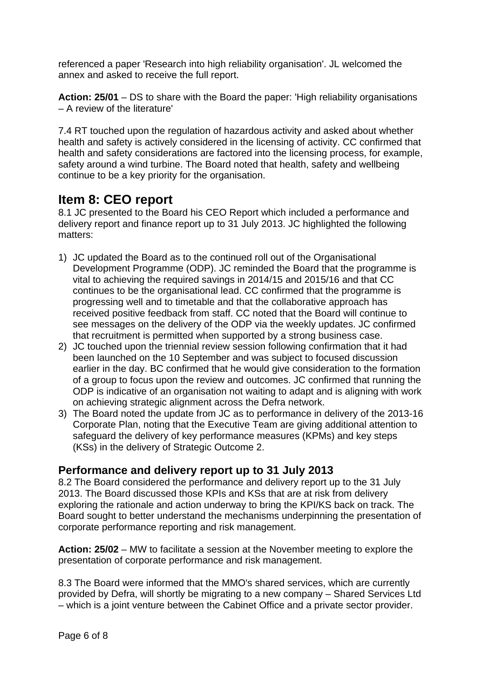referenced a paper 'Research into high reliability organisation'. JL welcomed the annex and asked to receive the full report.

**Action: 25/01** – DS to share with the Board the paper: 'High reliability organisations – A review of the literature'

7.4 RT touched upon the regulation of hazardous activity and asked about whether health and safety is actively considered in the licensing of activity. CC confirmed that health and safety considerations are factored into the licensing process, for example, safety around a wind turbine. The Board noted that health, safety and wellbeing continue to be a key priority for the organisation.

### **Item 8: CEO report**

8.1 JC presented to the Board his CEO Report which included a performance and delivery report and finance report up to 31 July 2013. JC highlighted the following matters:

- 1) JC updated the Board as to the continued roll out of the Organisational Development Programme (ODP). JC reminded the Board that the programme is vital to achieving the required savings in 2014/15 and 2015/16 and that CC continues to be the organisational lead. CC confirmed that the programme is progressing well and to timetable and that the collaborative approach has received positive feedback from staff. CC noted that the Board will continue to see messages on the delivery of the ODP via the weekly updates. JC confirmed that recruitment is permitted when supported by a strong business case.
- 2) JC touched upon the triennial review session following confirmation that it had been launched on the 10 September and was subject to focused discussion earlier in the day. BC confirmed that he would give consideration to the formation of a group to focus upon the review and outcomes. JC confirmed that running the ODP is indicative of an organisation not waiting to adapt and is aligning with work on achieving strategic alignment across the Defra network.
- 3) The Board noted the update from JC as to performance in delivery of the 2013-16 Corporate Plan, noting that the Executive Team are giving additional attention to safeguard the delivery of key performance measures (KPMs) and key steps (KSs) in the delivery of Strategic Outcome 2.

#### **Performance and delivery report up to 31 July 2013**

8.2 The Board considered the performance and delivery report up to the 31 July 2013. The Board discussed those KPIs and KSs that are at risk from delivery exploring the rationale and action underway to bring the KPI/KS back on track. The Board sought to better understand the mechanisms underpinning the presentation of corporate performance reporting and risk management.

**Action: 25/02** – MW to facilitate a session at the November meeting to explore the presentation of corporate performance and risk management.

8.3 The Board were informed that the MMO's shared services, which are currently provided by Defra, will shortly be migrating to a new company – Shared Services Ltd – which is a joint venture between the Cabinet Office and a private sector provider.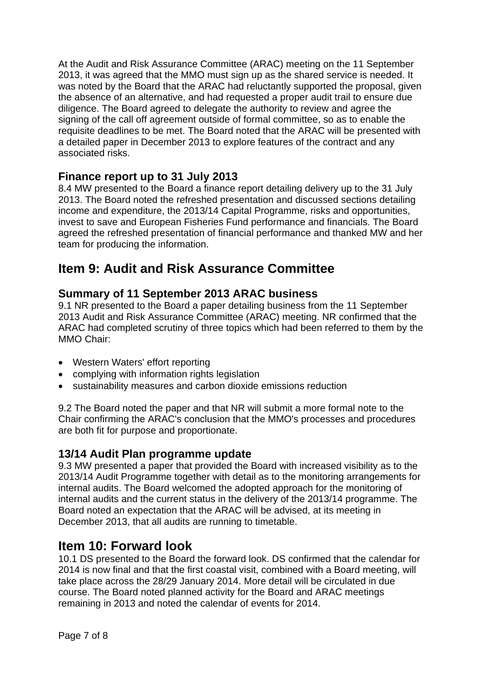At the Audit and Risk Assurance Committee (ARAC) meeting on the 11 September 2013, it was agreed that the MMO must sign up as the shared service is needed. It was noted by the Board that the ARAC had reluctantly supported the proposal, given the absence of an alternative, and had requested a proper audit trail to ensure due diligence. The Board agreed to delegate the authority to review and agree the signing of the call off agreement outside of formal committee, so as to enable the requisite deadlines to be met. The Board noted that the ARAC will be presented with a detailed paper in December 2013 to explore features of the contract and any associated risks.

#### **Finance report up to 31 July 2013**

8.4 MW presented to the Board a finance report detailing delivery up to the 31 July 2013. The Board noted the refreshed presentation and discussed sections detailing income and expenditure, the 2013/14 Capital Programme, risks and opportunities, invest to save and European Fisheries Fund performance and financials. The Board agreed the refreshed presentation of financial performance and thanked MW and her team for producing the information.

## **Item 9: Audit and Risk Assurance Committee**

#### **Summary of 11 September 2013 ARAC business**

9.1 NR presented to the Board a paper detailing business from the 11 September 2013 Audit and Risk Assurance Committee (ARAC) meeting. NR confirmed that the ARAC had completed scrutiny of three topics which had been referred to them by the MMO Chair:

- Western Waters' effort reporting
- complying with information rights legislation
- sustainability measures and carbon dioxide emissions reduction

9.2 The Board noted the paper and that NR will submit a more formal note to the Chair confirming the ARAC's conclusion that the MMO's processes and procedures are both fit for purpose and proportionate.

#### **13/14 Audit Plan programme update**

9.3 MW presented a paper that provided the Board with increased visibility as to the 2013/14 Audit Programme together with detail as to the monitoring arrangements for internal audits. The Board welcomed the adopted approach for the monitoring of internal audits and the current status in the delivery of the 2013/14 programme. The Board noted an expectation that the ARAC will be advised, at its meeting in December 2013, that all audits are running to timetable.

### **Item 10: Forward look**

10.1 DS presented to the Board the forward look. DS confirmed that the calendar for 2014 is now final and that the first coastal visit, combined with a Board meeting, will take place across the 28/29 January 2014. More detail will be circulated in due course. The Board noted planned activity for the Board and ARAC meetings remaining in 2013 and noted the calendar of events for 2014.